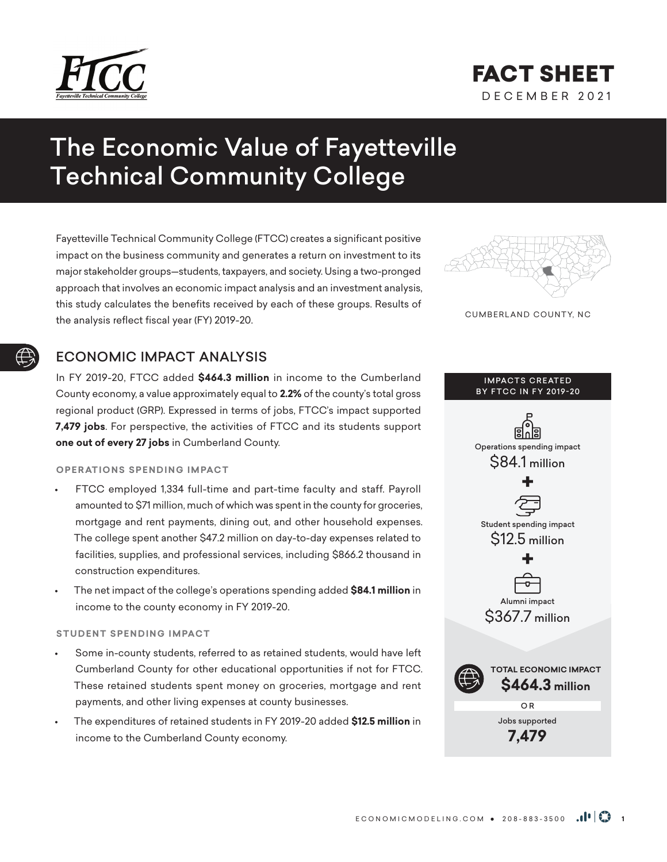

## DECEMBER 2021 FACT SHEET

# The Economic Value of Fayetteville Technical Community College

Fayetteville Technical Community College (FTCC) creates a significant positive impact on the business community and generates a return on investment to its major stakeholder groups—students, taxpayers, and society. Using a two-pronged approach that involves an economic impact analysis and an investment analysis, this study calculates the benefits received by each of these groups. Results of the analysis reflect fiscal year (FY) 2019-20.

## ECONOMIC IMPACT ANALYSIS

In FY 2019-20, FTCC added **\$464.3 million** in income to the Cumberland County economy, a value approximately equal to **2.2%** of the county's total gross regional product (GRP). Expressed in terms of jobs, FTCC's impact supported **7,479 jobs**. For perspective, the activities of FTCC and its students support **one out of every 27 jobs** in Cumberland County.

## **OPERATIONS SPENDING IMPACT**

- FTCC employed 1,334 full-time and part-time faculty and staff. Payroll amounted to \$71 million, much of which was spent in the county for groceries, mortgage and rent payments, dining out, and other household expenses. The college spent another \$47.2 million on day-to-day expenses related to facilities, supplies, and professional services, including \$866.2 thousand in construction expenditures.
- The net impact of the college's operations spending added **\$84.1 million** in income to the county economy in FY 2019-20.

## **STUDENT SPENDING IMPACT**

- Some in-county students, referred to as retained students, would have left Cumberland County for other educational opportunities if not for FTCC. These retained students spent money on groceries, mortgage and rent payments, and other living expenses at county businesses.
- The expenditures of retained students in FY 2019-20 added **\$12.5 million** in income to the Cumberland County economy.



CUMBERLAND COUNTY, NC

## **IMPACTS CREATED BY FTCC IN FY 2019-20**